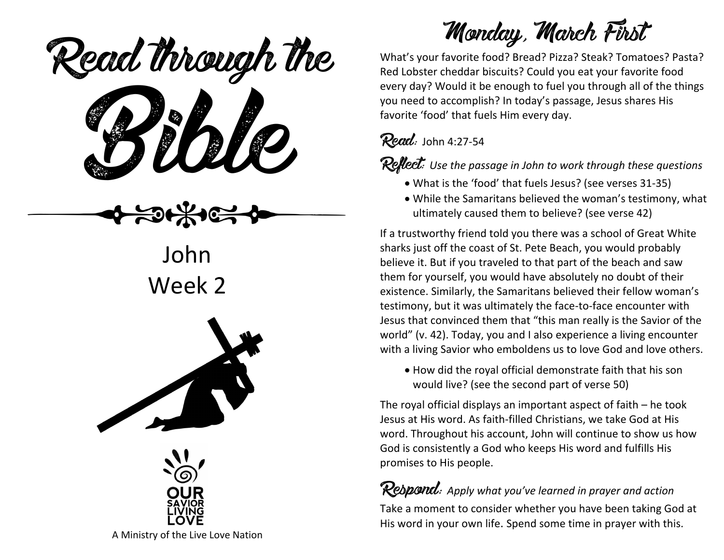ead mough is Read through the

John Week 2





Monday, March First

What's your favorite food? Bread? Pizza? Steak? Tomatoes? Pasta? Red Lobster cheddar biscuits? Could you eat your favorite food every day? Would it be enough to fuel you through all of the things you need to accomplish? In today's passage, Jesus shares His favorite 'food' that fuels Him every day.

### $Read:$  John 4:27-54

Reflect: Use the passage in John to work through these questions

- What is the 'food' that fuels Jesus? (see verses 31-35)
- While the Samaritans believed the woman's testimony, what ultimately caused them to believe? (see verse 42)

If a trustworthy friend told you there was a school of Great White sharks just off the coast of St. Pete Beach, you would probably believe it. But if you traveled to that part of the beach and saw them for yourself, you would have absolutely no doubt of their existence. Similarly, the Samaritans believed their fellow woman's testimony, but it was ultimately the face-to-face encounter with Jesus that convinced them that "this man really is the Savior of the world" (v. 42). Today, you and I also experience a living encounter with a living Savior who emboldens us to love God and love others.

• How did the royal official demonstrate faith that his son would live? (see the second part of verse 50)

The royal official displays an important aspect of faith – he took Jesus at His word. As faith-filled Christians, we take God at His word. Throughout his account, John will continue to show us how God is consistently a God who keeps His word and fulfills His promises to His people.

Respond: *Apply what you've learned in prayer and action* Take a moment to consider whether you have been taking God at His word in your own life. Spend some time in prayer with this.

A Ministry of the Live Love Nation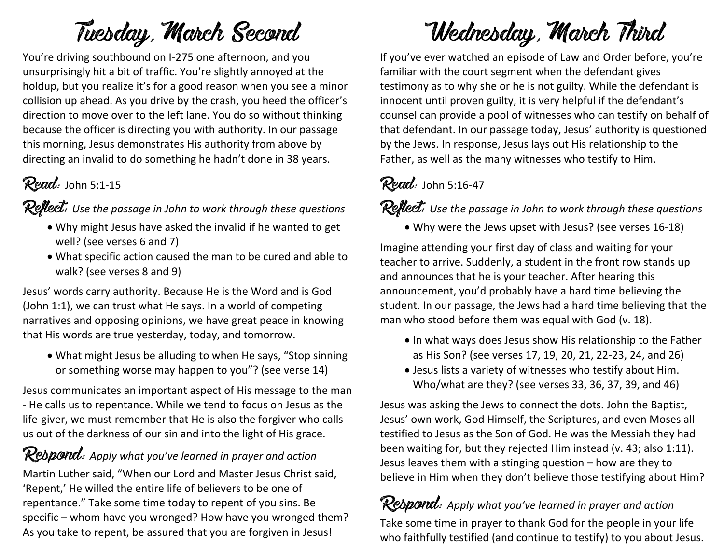# Tuesday, March Second

You're driving southbound on I-275 one afternoon, and you unsurprisingly hit a bit of traffic. You're slightly annoyed at the holdup, but you realize it's for a good reason when you see a minor collision up ahead. As you drive by the crash, you heed the officer's direction to move over to the left lane. You do so without thinking because the officer is directing you with authority. In our passage this morning, Jesus demonstrates His authority from above by directing an invalid to do something he hadn't done in 38 years.

## $Read:$  John 5:1-15

Reflect: Use the passage in John to work through these questions

- Why might Jesus have asked the invalid if he wanted to get well? (see verses 6 and 7)
- What specific action caused the man to be cured and able to walk? (see verses 8 and 9)

Jesus' words carry authority. Because He is the Word and is God (John 1:1), we can trust what He says. In a world of competing narratives and opposing opinions, we have great peace in knowing that His words are true yesterday, today, and tomorrow.

• What might Jesus be alluding to when He says, "Stop sinning or something worse may happen to you"? (see verse 14)

Jesus communicates an important aspect of His message to the man - He calls us to repentance. While we tend to focus on Jesus as the life-giver, we must remember that He is also the forgiver who calls us out of the darkness of our sin and into the light of His grace.

#### Rebpond: Apply what you've learned in prayer and action

Martin Luther said, "When our Lord and Master Jesus Christ said, 'Repent,' He willed the entire life of believers to be one of repentance." Take some time today to repent of you sins. Be specific – whom have you wronged? How have you wronged them? As you take to repent, be assured that you are forgiven in Jesus!

# Wednesday, March Third

If you've ever watched an episode of Law and Order before, you're familiar with the court segment when the defendant gives testimony as to why she or he is not guilty. While the defendant is innocent until proven guilty, it is very helpful if the defendant's counsel can provide a pool of witnesses who can testify on behalf of that defendant. In our passage today, Jesus' authority is questioned by the Jews. In response, Jesus lays out His relationship to the Father, as well as the many witnesses who testify to Him.

## $Read:$  John 5:16-47

Reflect: Use the passage in John to work through these questions

• Why were the Jews upset with Jesus? (see verses 16-18)

Imagine attending your first day of class and waiting for your teacher to arrive. Suddenly, a student in the front row stands up and announces that he is your teacher. After hearing this announcement, you'd probably have a hard time believing the student. In our passage, the Jews had a hard time believing that the man who stood before them was equal with God (v. 18).

- In what ways does Jesus show His relationship to the Father as His Son? (see verses 17, 19, 20, 21, 22-23, 24, and 26)
- Jesus lists a variety of witnesses who testify about Him. Who/what are they? (see verses 33, 36, 37, 39, and 46)

Jesus was asking the Jews to connect the dots. John the Baptist, Jesus' own work, God Himself, the Scriptures, and even Moses all testified to Jesus as the Son of God. He was the Messiah they had been waiting for, but they rejected Him instead (v. 43; also 1:11). Jesus leaves them with a stinging question – how are they to believe in Him when they don't believe those testifying about Him?

## Respond: *Apply what you've learned in prayer and action*

Take some time in prayer to thank God for the people in your life who faithfully testified (and continue to testify) to you about Jesus.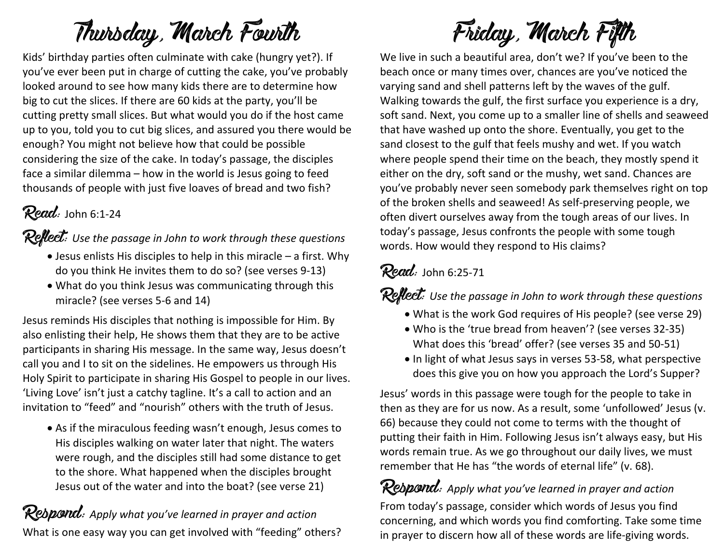# Thursday, March Fourth

Kids' birthday parties often culminate with cake (hungry yet?). If you've ever been put in charge of cutting the cake, you've probably looked around to see how many kids there are to determine how big to cut the slices. If there are 60 kids at the party, you'll be cutting pretty small slices. But what would you do if the host came up to you, told you to cut big slices, and assured you there would be enough? You might not believe how that could be possible considering the size of the cake. In today's passage, the disciples face a similar dilemma – how in the world is Jesus going to feed thousands of people with just five loaves of bread and two fish?

## $Read:$  John 6:1-24

Reflect: Use the passage in John to work through these questions

- Jesus enlists His disciples to help in this miracle a first. Why do you think He invites them to do so? (see verses 9-13)
- What do you think Jesus was communicating through this miracle? (see verses 5-6 and 14)

Jesus reminds His disciples that nothing is impossible for Him. By also enlisting their help, He shows them that they are to be active participants in sharing His message. In the same way, Jesus doesn't call you and I to sit on the sidelines. He empowers us through His Holy Spirit to participate in sharing His Gospel to people in our lives. 'Living Love' isn't just a catchy tagline. It's a call to action and an invitation to "feed" and "nourish" others with the truth of Jesus.

• As if the miraculous feeding wasn't enough, Jesus comes to His disciples walking on water later that night. The waters were rough, and the disciples still had some distance to get to the shore. What happened when the disciples brought Jesus out of the water and into the boat? (see verse 21)

Rebpond: Apply what you've learned in prayer and action What is one easy way you can get involved with "feeding" others?

# Friday, March Fifth

We live in such a beautiful area, don't we? If you've been to the beach once or many times over, chances are you've noticed the varying sand and shell patterns left by the waves of the gulf. Walking towards the gulf, the first surface you experience is a dry, soft sand. Next, you come up to a smaller line of shells and seaweed that have washed up onto the shore. Eventually, you get to the sand closest to the gulf that feels mushy and wet. If you watch where people spend their time on the beach, they mostly spend it either on the dry, soft sand or the mushy, wet sand. Chances are you've probably never seen somebody park themselves right on top of the broken shells and seaweed! As self-preserving people, we often divert ourselves away from the tough areas of our lives. In today's passage, Jesus confronts the people with some tough words. How would they respond to His claims?

### $Read:$  John 6:25-71

Reflect: Use the passage in John to work through these questions

- What is the work God requires of His people? (see verse 29)
- Who is the 'true bread from heaven'? (see verses 32-35) What does this 'bread' offer? (see verses 35 and 50-51)
- In light of what Jesus says in verses 53-58, what perspective does this give you on how you approach the Lord's Supper?

Jesus' words in this passage were tough for the people to take in then as they are for us now. As a result, some 'unfollowed' Jesus (v. 66) because they could not come to terms with the thought of putting their faith in Him. Following Jesus isn't always easy, but His words remain true. As we go throughout our daily lives, we must remember that He has "the words of eternal life" (v. 68).

Respond: *Apply what you've learned in prayer and action* From today's passage, consider which words of Jesus you find concerning, and which words you find comforting. Take some time in prayer to discern how all of these words are life-giving words.